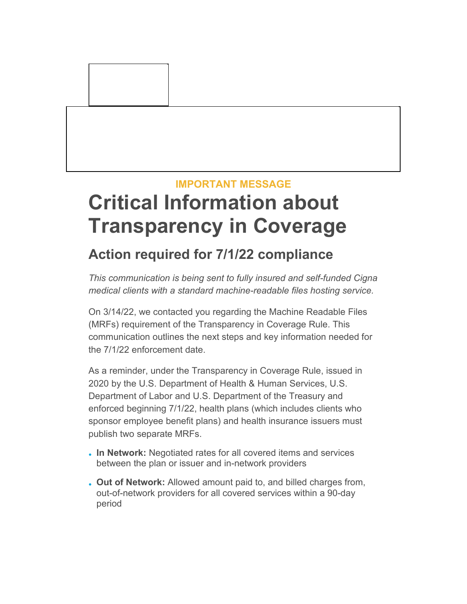### **IMPORTANT MESSAGE**

# **Critical Information about Transparency in Coverage**

## **Action required for 7/1/22 compliance**

*This communication is being sent to fully insured and self-funded Cigna medical clients with a standard machine-readable files hosting service.* 

On 3/14/22, we contacted you regarding the Machine Readable Files (MRFs) requirement of the Transparency in Coverage Rule. This communication outlines the next steps and key information needed for the 7/1/22 enforcement date.

As a reminder, under the Transparency in Coverage Rule, issued in 2020 by the U.S. Department of Health & Human Services, U.S. Department of Labor and U.S. Department of the Treasury and enforced beginning 7/1/22, health plans (which includes clients who sponsor employee benefit plans) and health insurance issuers must publish two separate MRFs.

- **In Network:** Negotiated rates for all covered items and services between the plan or issuer and in-network providers
- **Out of Network:** Allowed amount paid to, and billed charges from, out-of-network providers for all covered services within a 90-day period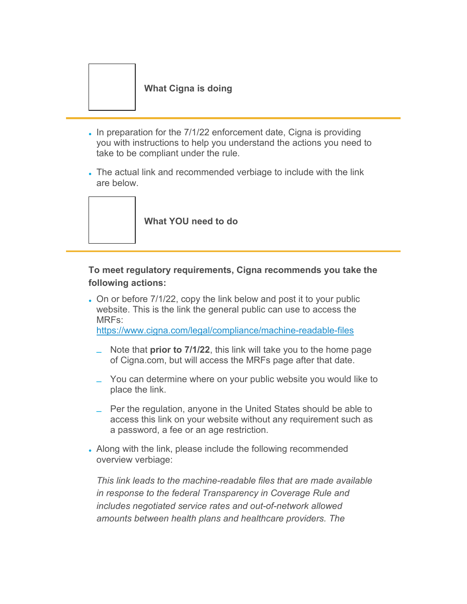#### **What Cigna is doing**

- In preparation for the 7/1/22 enforcement date, Cigna is providing you with instructions to help you understand the actions you need to take to be compliant under the rule.
- The actual link and recommended verbiage to include with the link are below.



### **To meet regulatory requirements, Cigna recommends you take the following actions:**

- On or before 7/1/22, copy the link below and post it to your public website. This is the link the general public can use to access the MRFs: [https://www.cigna.com/legal/compliance/machine-readable-files](http://app.connecting.cigna.com/e/er?s=1399&lid=18561&elqTrackId=de349e7af56c46bca637e8b8ce62f765&elq=5bb4ba04c8694dad9dc99c7c99f9fb53&elqaid=23976&elqat=1)
	- Note that **prior to 7/1/22**, this link will take you to the home page of Cigna.com, but will access the MRFs page after that date.
	- You can determine where on your public website you would like to place the link.
	- Per the regulation, anyone in the United States should be able to access this link on your website without any requirement such as a password, a fee or an age restriction.
- Along with the link, please include the following recommended overview verbiage:

*This link leads to the machine-readable files that are made available in response to the federal Transparency in Coverage Rule and includes negotiated service rates and out-of-network allowed amounts between health plans and healthcare providers. The*